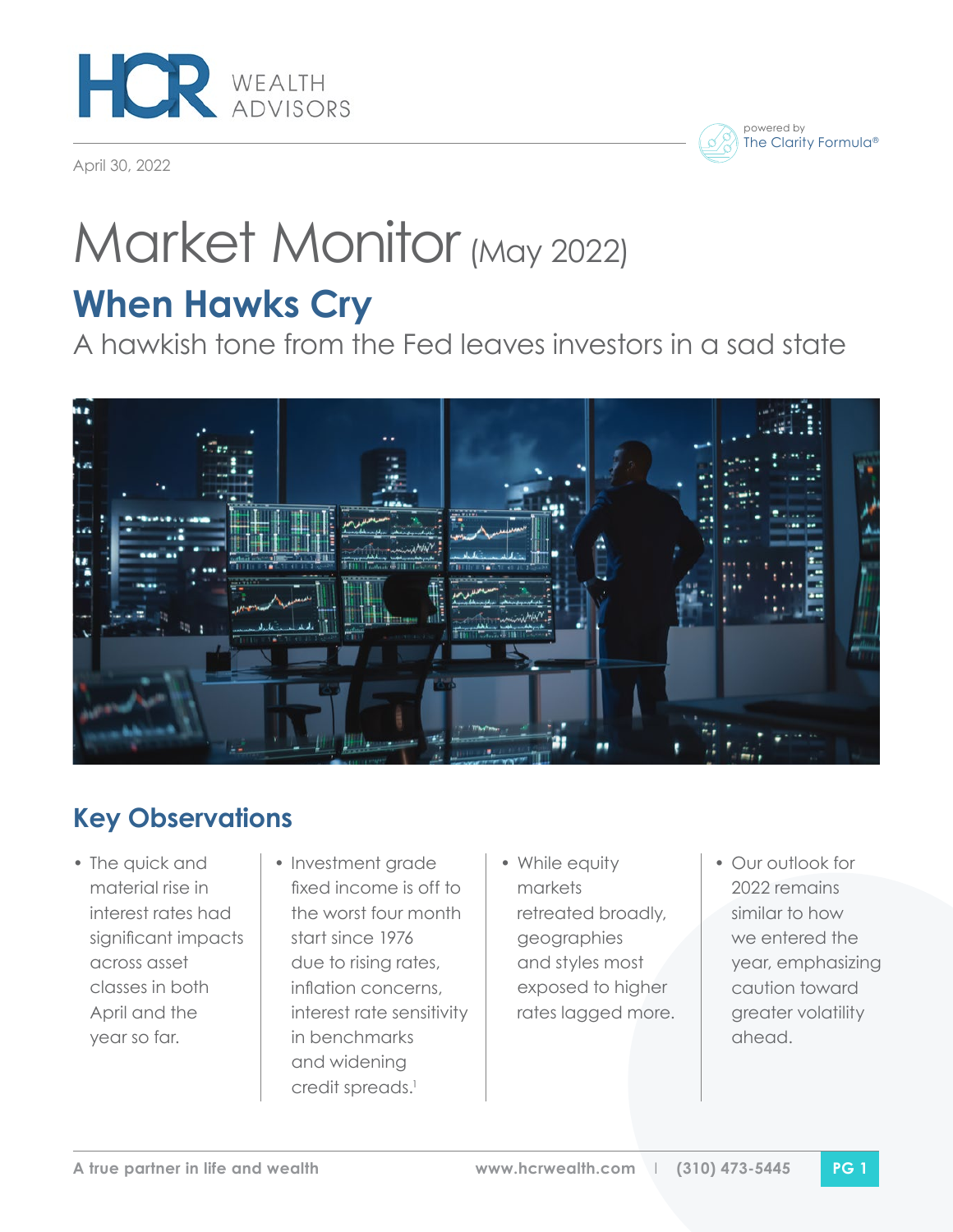

April 30, 2022



# Market Monitor (May 2022)

## **When Hawks Cry**

A hawkish tone from the Fed leaves investors in a sad state



## **Key Observations**

- The quick and material rise in interest rates had significant impacts across asset classes in both April and the year so far.
- Investment grade fixed income is off to the worst four month start since 1976 due to rising rates, inflation concerns, interest rate sensitivity in benchmarks and widening credit spreads.<sup>1</sup>
- While equity markets retreated broadly, geographies and styles most exposed to higher rates lagged more.
- Our outlook for 2022 remains similar to how we entered the year, emphasizing caution toward greater volatility ahead.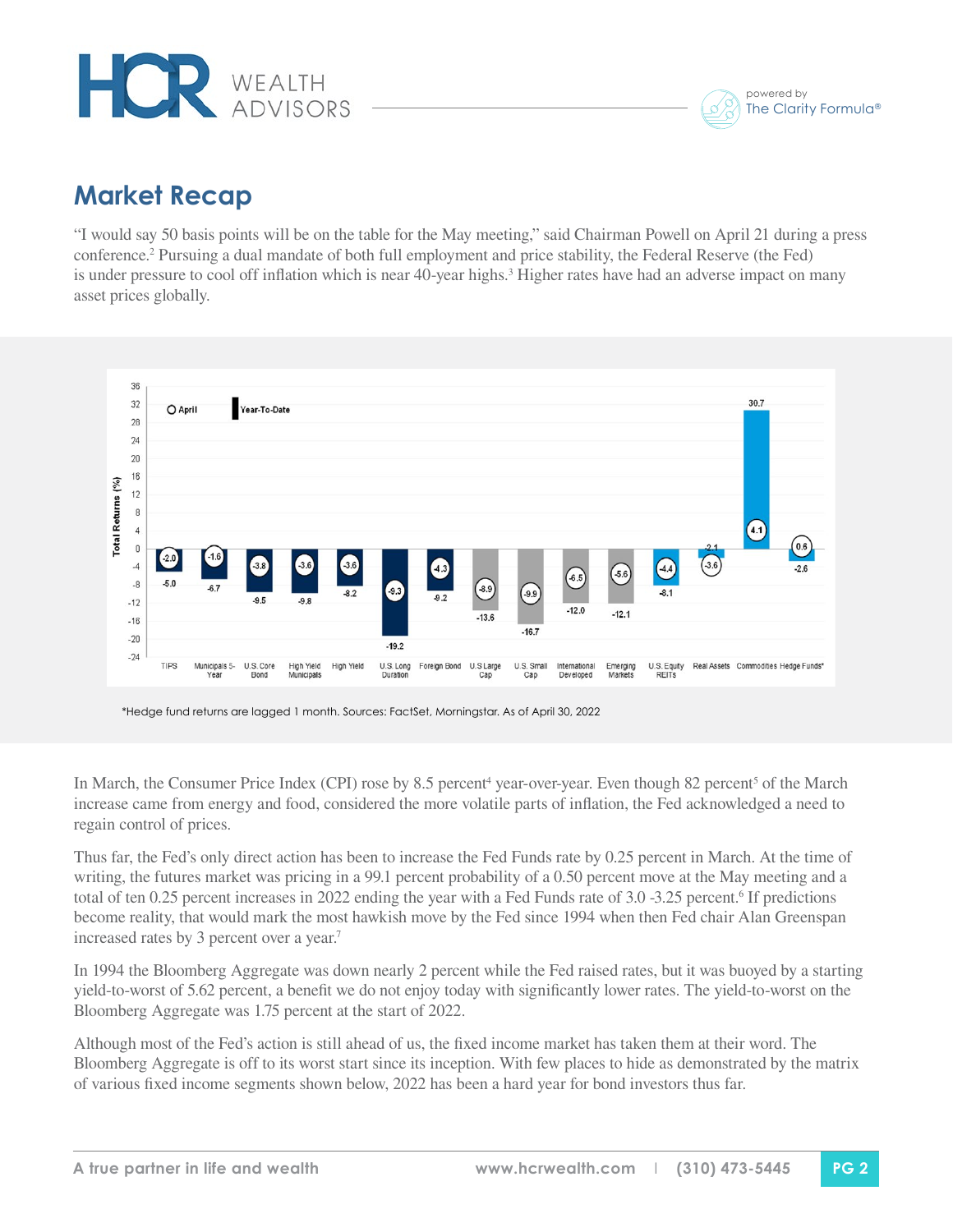



### **Market Recap**

"I would say 50 basis points will be on the table for the May meeting," said Chairman Powell on April 21 during a press conference.2 Pursuing a dual mandate of both full employment and price stability, the Federal Reserve (the Fed) is under pressure to cool off inflation which is near 40-year highs.<sup>3</sup> Higher rates have had an adverse impact on many asset prices globally.



<sup>\*</sup>Hedge fund returns are lagged 1 month. Sources: FactSet, Morningstar. As of April 30, 2022

In March, the Consumer Price Index (CPI) rose by 8.5 percent<sup>4</sup> year-over-year. Even though 82 percent<sup>5</sup> of the March increase came from energy and food, considered the more volatile parts of inflation, the Fed acknowledged a need to regain control of prices.

Thus far, the Fed's only direct action has been to increase the Fed Funds rate by 0.25 percent in March. At the time of writing, the futures market was pricing in a 99.1 percent probability of a 0.50 percent move at the May meeting and a total of ten 0.25 percent increases in 2022 ending the year with a Fed Funds rate of 3.0 -3.25 percent.<sup>6</sup> If predictions become reality, that would mark the most hawkish move by the Fed since 1994 when then Fed chair Alan Greenspan increased rates by 3 percent over a year.<sup>7</sup>

In 1994 the Bloomberg Aggregate was down nearly 2 percent while the Fed raised rates, but it was buoyed by a starting yield-to-worst of 5.62 percent, a benefit we do not enjoy today with significantly lower rates. The yield-to-worst on the Bloomberg Aggregate was 1.75 percent at the start of 2022.

Although most of the Fed's action is still ahead of us, the fixed income market has taken them at their word. The Bloomberg Aggregate is off to its worst start since its inception. With few places to hide as demonstrated by the matrix of various fixed income segments shown below, 2022 has been a hard year for bond investors thus far.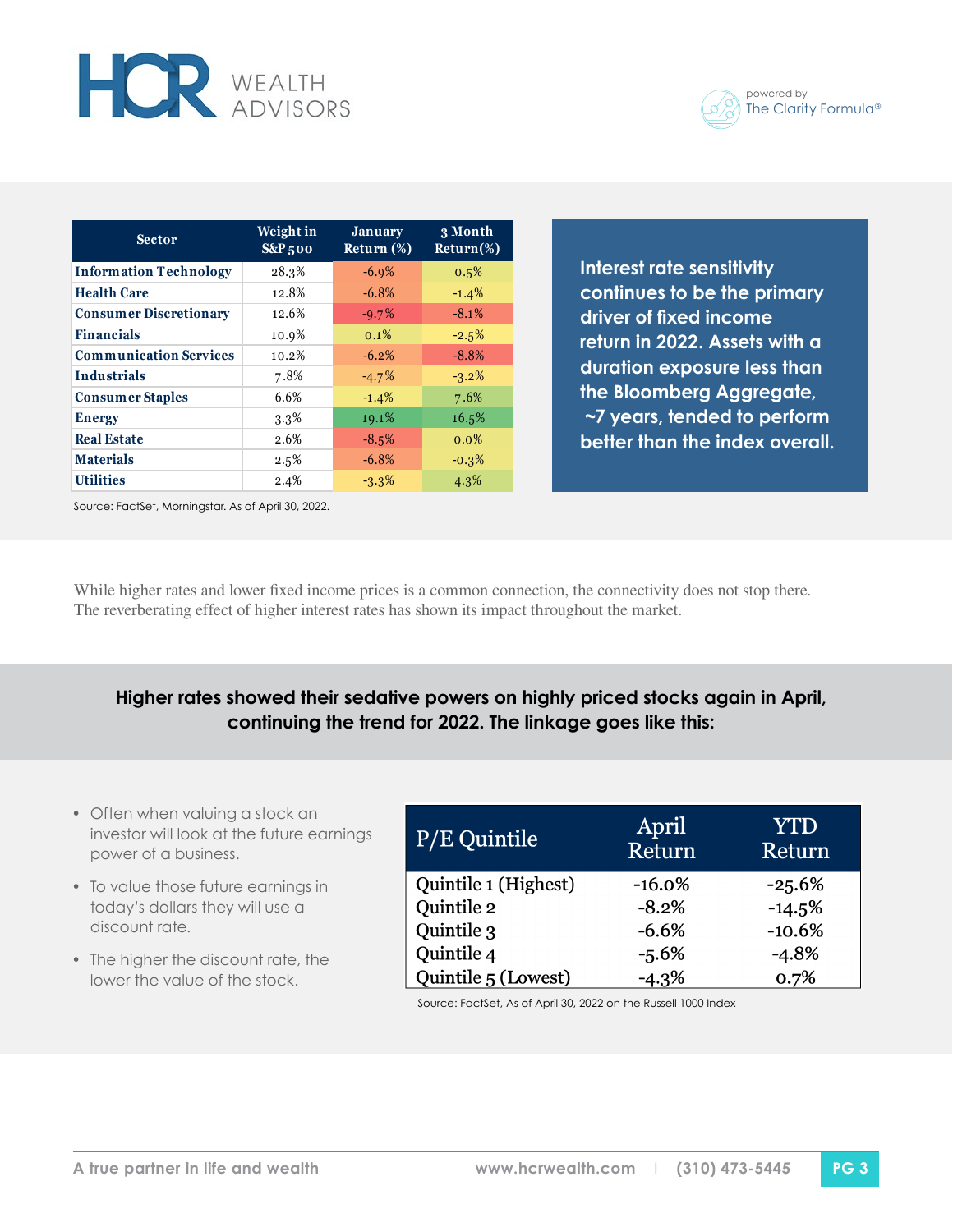

| <b>Sector</b>                 | Weight in<br><b>S&amp;P</b> 500 | <b>January</b><br>Return (%) | 3 Month<br>$Return$ %) |
|-------------------------------|---------------------------------|------------------------------|------------------------|
| <b>Information Technology</b> | 28.3%                           | $-6.9%$                      | 0.5%                   |
| <b>Health Care</b>            | 12.8%                           | $-6.8%$                      | $-1.4%$                |
| <b>Consumer Discretionary</b> | 12.6%                           | $-9.7%$                      | $-8.1%$                |
| <b>Financials</b>             | 10.9%                           | $0.1\%$                      | $-2.5%$                |
| <b>Communication Services</b> | 10.2%                           | $-6.2%$                      | $-8.8%$                |
| <b>Industrials</b>            | 7.8%                            | $-4.7%$                      | $-3.2\%$               |
| <b>Consumer Staples</b>       | 6.6%                            | $-1.4%$                      | 7.6%                   |
| <b>Energy</b>                 | $3.3\%$                         | 19.1%                        | 16.5%                  |
| <b>Real Estate</b>            | 2.6%                            | $-8.5%$                      | $0.0\%$                |
| <b>Materials</b>              | 2.5%                            | $-6.8%$                      | $-0.3%$                |
| <b>Utilities</b>              | 2.4%                            | $-3.3%$                      | 4.3%                   |

**Interest rate sensitivity continues to be the primary driver of fixed income return in 2022. Assets with a duration exposure less than the Bloomberg Aggregate, ~7 years, tended to perform better than the index overall.**

Source: FactSet, Morningstar. As of April 30, 2022.

**HOR** WEALTH

While higher rates and lower fixed income prices is a common connection, the connectivity does not stop there. The reverberating effect of higher interest rates has shown its impact throughout the market.

#### **Higher rates showed their sedative powers on highly priced stocks again in April, continuing the trend for 2022. The linkage goes like this:**

- Often when valuing a stock an investor will look at the future earnings power of a business.
- To value those future earnings in today's dollars they will use a discount rate.
- The higher the discount rate, the lower the value of the stock.

| $P/E$ Quintile       | April<br>Return | <b>YTD</b><br>Return |
|----------------------|-----------------|----------------------|
| Quintile 1 (Highest) | $-16.0%$        | $-25.6%$             |
| Quintile 2           | $-8.2%$         | $-14.5%$             |
| Quintile 3           | $-6.6%$         | $-10.6%$             |
| Quintile 4           | $-5.6%$         | $-4.8%$              |
| Quintile 5 (Lowest)  | $-4.3\%$        | 0.7%                 |

Source: FactSet, As of April 30, 2022 on the Russell 1000 Index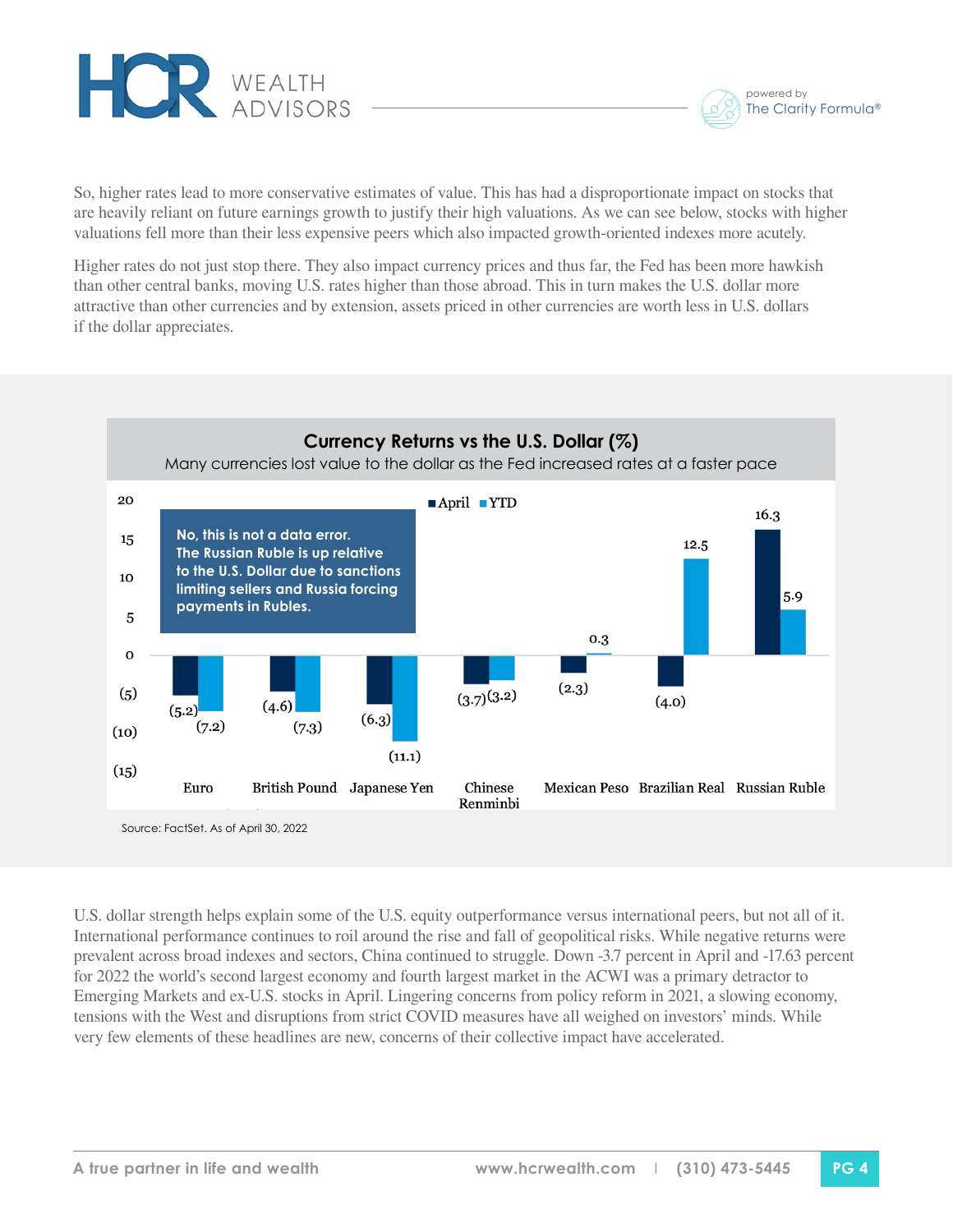



So, higher rates lead to more conservative estimates of value. This has had a disproportionate impact on stocks that are heavily reliant on future earnings growth to justify their high valuations. As we can see below, stocks with higher valuations fell more than their less expensive peers which also impacted growth-oriented indexes more acutely.

Higher rates do not just stop there. They also impact currency prices and thus far, the Fed has been more hawkish than other central banks, moving U.S. rates higher than those abroad. This in turn makes the U.S. dollar more attractive than other currencies and by extension, assets priced in other currencies are worth less in U.S. dollars if the dollar appreciates.



Source: FactSet. As of April 30, 2022

U.S. dollar strength helps explain some of the U.S. equity outperformance versus international peers, but not all of it. International performance continues to roil around the rise and fall of geopolitical risks. While negative returns were prevalent across broad indexes and sectors, China continued to struggle. Down -3.7 percent in April and -17.63 percent for 2022 the world's second largest economy and fourth largest market in the ACWI was a primary detractor to Emerging Markets and ex-U.S. stocks in April. Lingering concerns from policy reform in 2021, a slowing economy, tensions with the West and disruptions from strict COVID measures have all weighed on investors' minds. While very few elements of these headlines are new, concerns of their collective impact have accelerated.